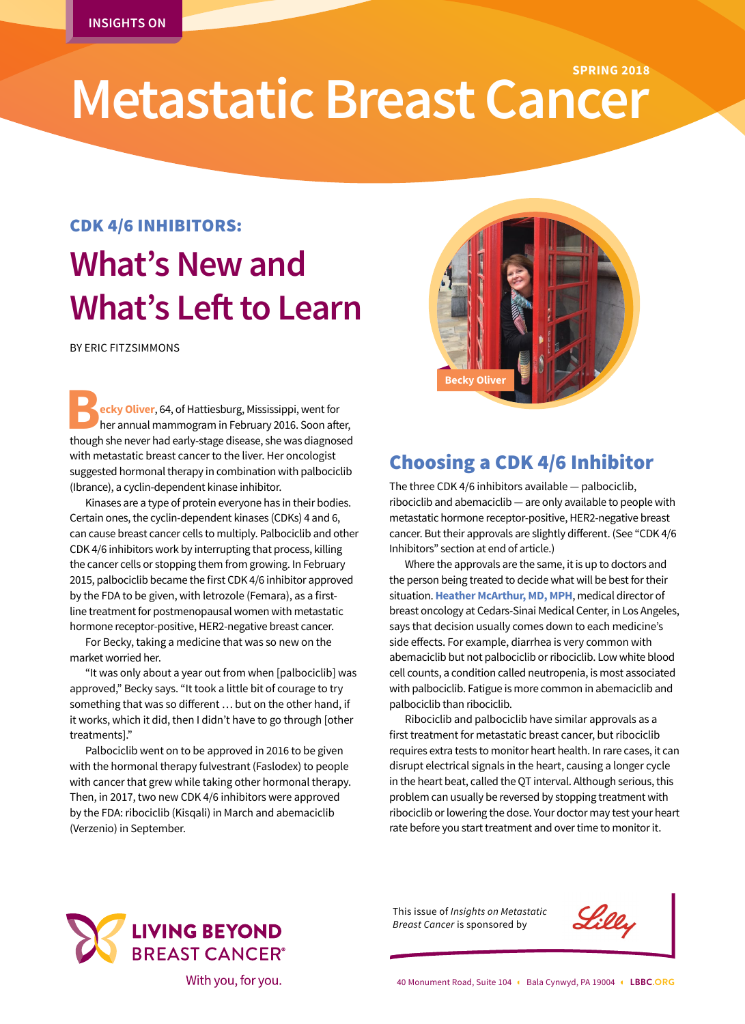## **Metastatic Breast Cancer SPRING 2018**

### CDK 4/6 INHIBITORS:

# **What's New and What's Left to Learn**

BY ERIC FITZSIMMONS

**Becky Oliver**, 64, of Hattiesburg, Mississippi, went for her annual mammogram in February 2016. Soon after though she never had early-stage disease, she was diagnos her annual mammogram in February 2016. Soon after, though she never had early-stage disease, she was diagnosed with metastatic breast cancer to the liver. Her oncologist suggested hormonal therapy in combination with palbociclib (Ibrance), a cyclin-dependent kinase inhibitor.

Kinases are a type of protein everyone has in their bodies. Certain ones, the cyclin-dependent kinases (CDKs) 4 and 6, can cause breast cancer cells to multiply. Palbociclib and other CDK 4/6 inhibitors work by interrupting that process, killing the cancer cells or stopping them from growing. In February 2015, palbociclib became the first CDK 4/6 inhibitor approved by the FDA to be given, with letrozole (Femara), as a firstline treatment for postmenopausal women with metastatic hormone receptor-positive, HER2-negative breast cancer.

For Becky, taking a medicine that was so new on the market worried her.

"It was only about a year out from when [palbociclib] was approved," Becky says. "It took a little bit of courage to try something that was so different … but on the other hand, if it works, which it did, then I didn't have to go through [other treatments]."

Palbociclib went on to be approved in 2016 to be given with the hormonal therapy fulvestrant (Faslodex) to people with cancer that grew while taking other hormonal therapy. Then, in 2017, two new CDK 4/6 inhibitors were approved by the FDA: ribociclib (Kisqali) in March and abemaciclib (Verzenio) in September.



## Choosing a CDK 4/6 Inhibitor

The three CDK 4/6 inhibitors available — palbociclib, ribociclib and abemaciclib — are only available to people with metastatic hormone receptor-positive, HER2-negative breast cancer. But their approvals are slightly different. (See "CDK 4/6 Inhibitors" section at end of article.)

Where the approvals are the same, it is up to doctors and the person being treated to decide what will be best for their situation. **Heather McArthur, MD, MPH**, medical director of breast oncology at Cedars-Sinai Medical Center, in Los Angeles, says that decision usually comes down to each medicine's side effects. For example, diarrhea is very common with abemaciclib but not palbociclib or ribociclib. Low white blood cell counts, a condition called neutropenia, is most associated with palbociclib. Fatigue is more common in abemaciclib and palbociclib than ribociclib.

Ribociclib and palbociclib have similar approvals as a first treatment for metastatic breast cancer, but ribociclib requires extra tests to monitor heart health. In rare cases, it can disrupt electrical signals in the heart, causing a longer cycle in the heart beat, called the QT interval. Although serious, this problem can usually be reversed by stopping treatment with ribociclib or lowering the dose. Your doctor may test your heart rate before you start treatment and over time to monitor it.



This issue of *Insights on Metastatic Breast Cancer* is sponsored by

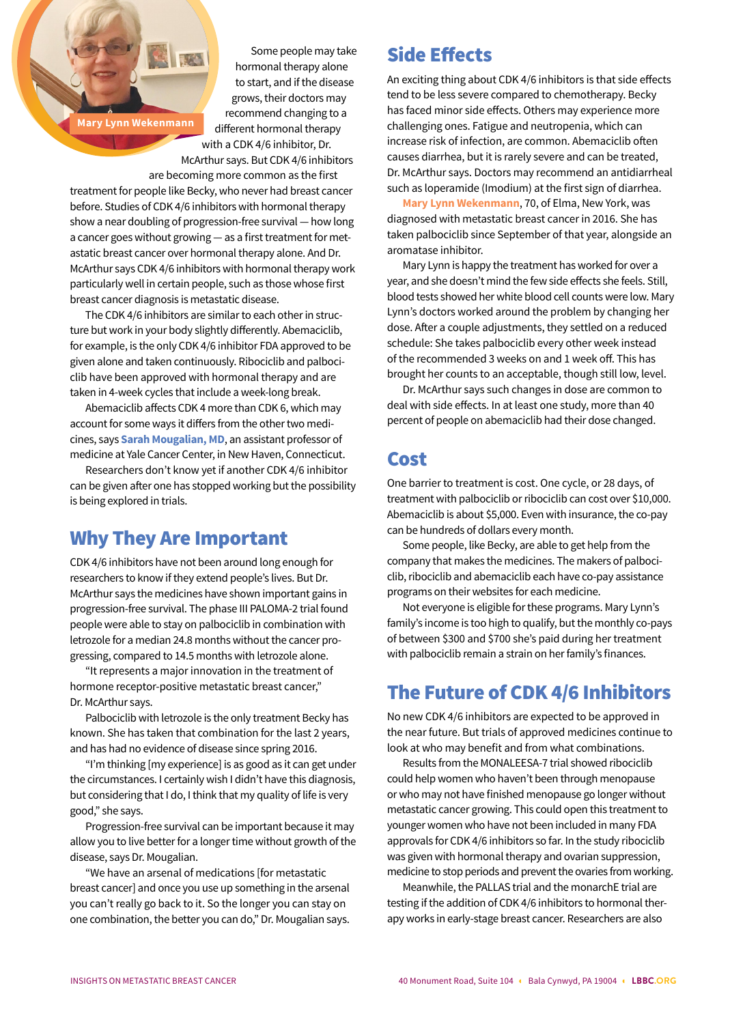**Mary Lynn Wekenmann**

Some people may take hormonal therapy alone to start, and if the disease grows, their doctors may recommend changing to a different hormonal therapy

with a CDK 4/6 inhibitor, Dr. McArthur says. But CDK 4/6 inhibitors

are becoming more common as the first

treatment for people like Becky, who never had breast cancer before. Studies of CDK 4/6 inhibitors with hormonal therapy show a near doubling of progression-free survival — how long a cancer goes without growing — as a first treatment for metastatic breast cancer over hormonal therapy alone. And Dr. McArthur says CDK 4/6 inhibitors with hormonal therapy work particularly well in certain people, such as those whose first breast cancer diagnosis is metastatic disease.

The CDK 4/6 inhibitors are similar to each other in structure but work in your body slightly differently. Abemaciclib, for example, is the only CDK 4/6 inhibitor FDA approved to be given alone and taken continuously. Ribociclib and palbociclib have been approved with hormonal therapy and are taken in 4-week cycles that include a week-long break.

Abemaciclib affects CDK 4 more than CDK 6, which may account for some ways it differs from the other two medicines, says **Sarah Mougalian, MD**, an assistant professor of medicine at Yale Cancer Center, in New Haven, Connecticut.

Researchers don't know yet if another CDK 4/6 inhibitor can be given after one has stopped working but the possibility is being explored in trials.

### Why They Are Important

CDK 4/6 inhibitors have not been around long enough for researchers to know if they extend people's lives. But Dr. McArthur says the medicines have shown important gains in progression-free survival. The phase III PALOMA-2 trial found people were able to stay on palbociclib in combination with letrozole for a median 24.8 months without the cancer progressing, compared to 14.5 months with letrozole alone.

"It represents a major innovation in the treatment of hormone receptor-positive metastatic breast cancer," Dr. McArthur says.

Palbociclib with letrozole is the only treatment Becky has known. She has taken that combination for the last 2 years, and has had no evidence of disease since spring 2016.

"I'm thinking [my experience] is as good as it can get under the circumstances. I certainly wish I didn't have this diagnosis, but considering that I do, I think that my quality of life is very good," she says.

Progression-free survival can be important because it may allow you to live better for a longer time without growth of the disease, says Dr. Mougalian.

"We have an arsenal of medications [for metastatic breast cancer] and once you use up something in the arsenal you can't really go back to it. So the longer you can stay on one combination, the better you can do," Dr. Mougalian says.

### Side Effects

An exciting thing about CDK 4/6 inhibitors is that side effects tend to be less severe compared to chemotherapy. Becky has faced minor side effects. Others may experience more challenging ones. Fatigue and neutropenia, which can increase risk of infection, are common. Abemaciclib often causes diarrhea, but it is rarely severe and can be treated, Dr. McArthur says. Doctors may recommend an antidiarrheal such as loperamide (Imodium) at the first sign of diarrhea.

**Mary Lynn Wekenmann**, 70, of Elma, New York, was diagnosed with metastatic breast cancer in 2016. She has taken palbociclib since September of that year, alongside an aromatase inhibitor.

Mary Lynn is happy the treatment has worked for over a year, and she doesn't mind the few side effects she feels. Still, blood tests showed her white blood cell counts were low. Mary Lynn's doctors worked around the problem by changing her dose. After a couple adjustments, they settled on a reduced schedule: She takes palbociclib every other week instead of the recommended 3 weeks on and 1 week off. This has brought her counts to an acceptable, though still low, level.

Dr. McArthur says such changes in dose are common to deal with side effects. In at least one study, more than 40 percent of people on abemaciclib had their dose changed.

### Cost

One barrier to treatment is cost. One cycle, or 28 days, of treatment with palbociclib or ribociclib can cost over \$10,000. Abemaciclib is about \$5,000. Even with insurance, the co-pay can be hundreds of dollars every month.

Some people, like Becky, are able to get help from the company that makes the medicines. The makers of palbociclib, ribociclib and abemaciclib each have co-pay assistance programs on their websites for each medicine.

Not everyone is eligible for these programs. Mary Lynn's family's income is too high to qualify, but the monthly co-pays of between \$300 and \$700 she's paid during her treatment with palbociclib remain a strain on her family's finances.

### The Future of CDK 4/6 Inhibitors

No new CDK 4/6 inhibitors are expected to be approved in the near future. But trials of approved medicines continue to look at who may benefit and from what combinations.

Results from the MONALEESA-7 trial showed ribociclib could help women who haven't been through menopause or who may not have finished menopause go longer without metastatic cancer growing. This could open this treatment to younger women who have not been included in many FDA approvals for CDK 4/6 inhibitors so far. In the study ribociclib was given with hormonal therapy and ovarian suppression, medicine to stop periods and prevent the ovaries from working.

Meanwhile, the PALLAS trial and the monarchE trial are testing if the addition of CDK 4/6 inhibitors to hormonal therapy works in early-stage breast cancer. Researchers are also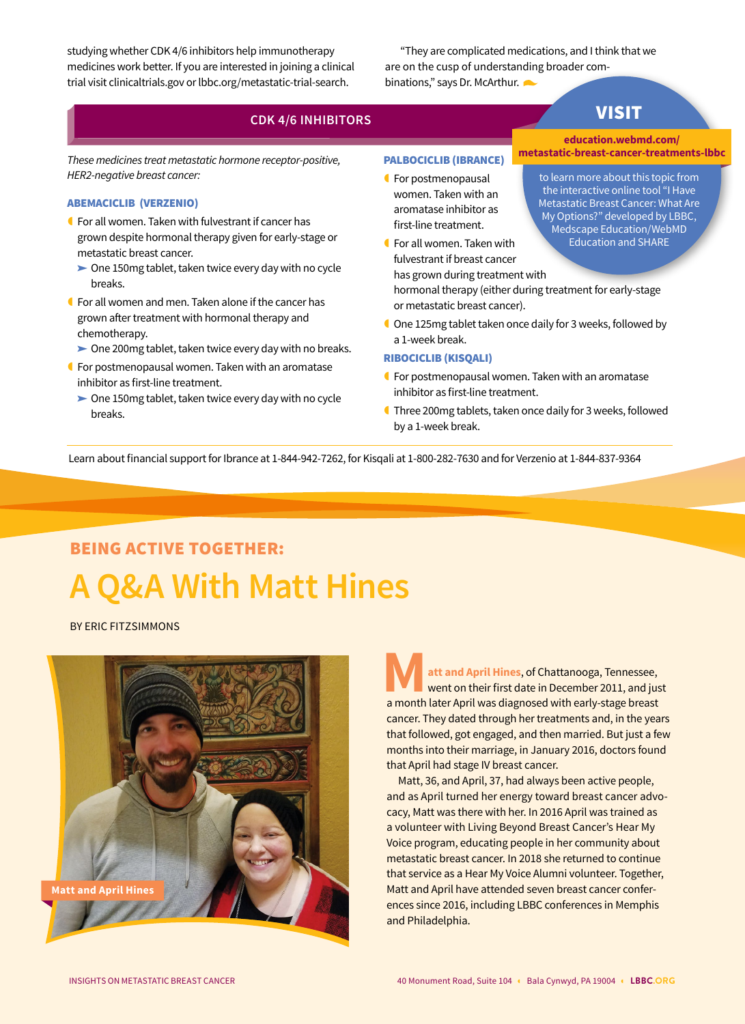studying whether CDK 4/6 inhibitors help immunotherapy medicines work better. If you are interested in joining a clinical trial visit clinicaltrials.gov or lbbc.org/metastatic-trial-search.

"They are complicated medications, and I think that we are on the cusp of understanding broader combinations," says Dr. McArthur.

### **CDK 4/6 INHIBITORS**

**metastatic-breast-cancer-treatments-lbbc** *These medicines treat metastatic hormone receptor-positive, HER2-negative breast cancer:*

#### ABEMACICLIB (VERZENIO)

- **f** For all women. Taken with fulvestrant if cancer has grown despite hormonal therapy given for early-stage or metastatic breast cancer.
	- $\triangleright$  One 150mg tablet, taken twice every day with no cycle breaks.
- **C** For all women and men. Taken alone if the cancer has grown after treatment with hormonal therapy and chemotherapy.
	- $\triangleright$  One 200mg tablet, taken twice every day with no breaks.
- For postmenopausal women. Taken with an aromatase inhibitor as first-line treatment.
	- $\triangleright$  One 150mg tablet, taken twice every day with no cycle breaks.

### PALBOCICLIB (IBRANCE)

- **f** For postmenopausal women. Taken with an aromatase inhibitor as first-line treatment.
- For all women. Taken with fulvestrant if breast cancer has grown during treatment with

hormonal therapy (either during treatment for early-stage or metastatic breast cancer).

 One 125mg tablet taken once daily for 3 weeks, followed by a 1-week break.

### RIBOCICLIB (KISQALI)

- **G** For postmenopausal women. Taken with an aromatase inhibitor as first-line treatment.
- Three 200mg tablets, taken once daily for 3 weeks, followed by a 1-week break.

Learn about financial support for Ibrance at 1-844-942-7262, for Kisqali at 1-800-282-7630 and for Verzenio at 1-844-837-9364

## BEING ACTIVE TOGETHER: **A Q&A With Matt Hines**

BY ERIC FITZSIMMONS



**Matt and April Hines**, of Chattanooga, Tennessee, went on their first date in December 2011, and just a month later April was diagnosed with early-stage breast went on their first date in December 2011, and just cancer. They dated through her treatments and, in the years that followed, got engaged, and then married. But just a few months into their marriage, in January 2016, doctors found that April had stage IV breast cancer.

Matt, 36, and April, 37, had always been active people, and as April turned her energy toward breast cancer advocacy, Matt was there with her. In 2016 April was trained as a volunteer with Living Beyond Breast Cancer's Hear My Voice program, educating people in her community about metastatic breast cancer. In 2018 she returned to continue that service as a Hear My Voice Alumni volunteer. Together, Matt and April have attended seven breast cancer conferences since 2016, including LBBC conferences in Memphis and Philadelphia.

**education.webmd.com/**

VISIT

to learn more about this topic from the interactive online tool "I Have Metastatic Breast Cancer: What Are My Options?" developed by LBBC, Medscape Education/WebMD Education and SHARE